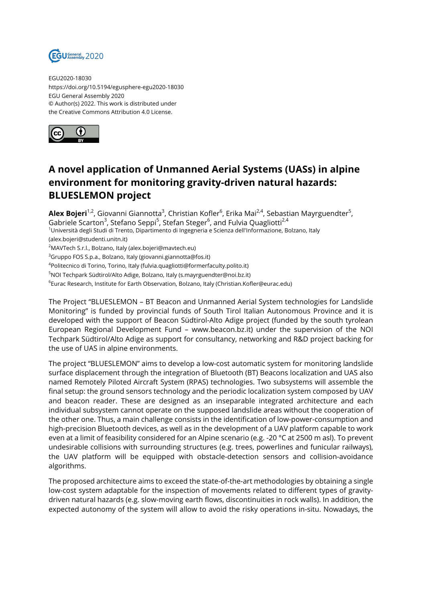

EGU2020-18030 https://doi.org/10.5194/egusphere-egu2020-18030 EGU General Assembly 2020 © Author(s) 2022. This work is distributed under the Creative Commons Attribution 4.0 License.



## **A novel application of Unmanned Aerial Systems (UASs) in alpine environment for monitoring gravity-driven natural hazards: BLUESLEMON project**

**Alex Bojeri**<sup>1,2</sup>, Giovanni Giannotta<sup>3</sup>, Christian Kofler<sup>6</sup>, Erika Mai<sup>2,4</sup>, Sebastian Mayrguendter<sup>5</sup>,

Gabriele Scarton<sup>3</sup>, Stefano Seppi<sup>5</sup>, Stefan Steger<sup>6</sup>, and Fulvia Quagliotti<sup>2,4</sup>

<sup>1</sup>Università degli Studi di Trento, Dipartimento di Ingegneria e Scienza dell'Informazione, Bolzano, Italy (alex.bojeri@studenti.unitn.it)

<sup>2</sup>MAVTech S.r.l., Bolzano, Italy (alex.bojeri@mavtech.eu)

 $3$ Gruppo FOS S.p.a., Bolzano, Italy (giovanni.giannotta@fos.it)

4 Politecnico di Torino, Torino, Italy (fulvia.quagliotti@formerfaculty.polito.it)

<sup>5</sup>NOI Techpark Südtirol/Alto Adige, Bolzano, Italy (s.mayrguendter@noi.bz.it)

 $^6$ Eurac Research, Institute for Earth Observation, Bolzano, Italy (Christian.Kofler@eurac.edu)

The Project "BLUESLEMON – BT Beacon and Unmanned Aerial System technologies for Landslide Monitoring" is funded by provincial funds of South Tirol Italian Autonomous Province and it is developed with the support of Beacon Südtirol-Alto Adige project (funded by the south tyrolean European Regional Development Fund – www.beacon.bz.it) under the supervision of the NOI Techpark Südtirol/Alto Adige as support for consultancy, networking and R&D project backing for the use of UAS in alpine environments.

The project "BLUESLEMON" aims to develop a low-cost automatic system for monitoring landslide surface displacement through the integration of Bluetooth (BT) Beacons localization and UAS also named Remotely Piloted Aircraft System (RPAS) technologies. Two subsystems will assemble the final setup: the ground sensors technology and the periodic localization system composed by UAV and beacon reader. These are designed as an inseparable integrated architecture and each individual subsystem cannot operate on the supposed landslide areas without the cooperation of the other one. Thus, a main challenge consists in the identification of low-power-consumption and high-precision Bluetooth devices, as well as in the development of a UAV platform capable to work even at a limit of feasibility considered for an Alpine scenario (e.g. -20 °C at 2500 m asl). To prevent undesirable collisions with surrounding structures (e.g. trees, powerlines and funicular railways), the UAV platform will be equipped with obstacle-detection sensors and collision-avoidance algorithms.

The proposed architecture aims to exceed the state-of-the-art methodologies by obtaining a single low-cost system adaptable for the inspection of movements related to different types of gravitydriven natural hazards (e.g. slow-moving earth flows, discontinuities in rock walls). In addition, the expected autonomy of the system will allow to avoid the risky operations in-situ. Nowadays, the